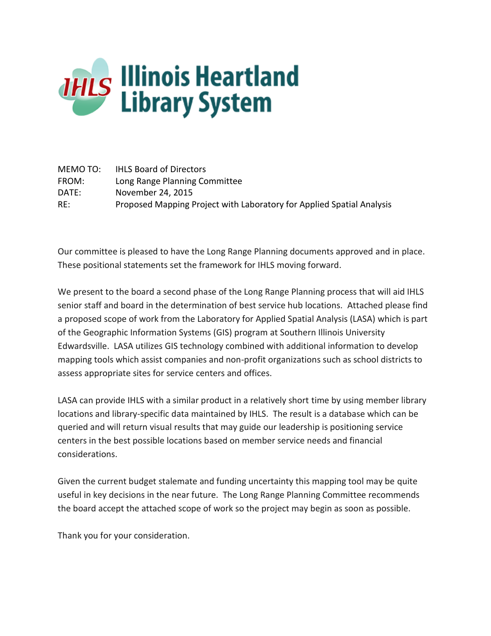

MEMO TO: IHLS Board of Directors FROM: Long Range Planning Committee DATE: November 24, 2015 RE: Proposed Mapping Project with Laboratory for Applied Spatial Analysis

Our committee is pleased to have the Long Range Planning documents approved and in place. These positional statements set the framework for IHLS moving forward.

We present to the board a second phase of the Long Range Planning process that will aid IHLS senior staff and board in the determination of best service hub locations. Attached please find a proposed scope of work from the Laboratory for Applied Spatial Analysis (LASA) which is part of the Geographic Information Systems (GIS) program at Southern Illinois University Edwardsville. LASA utilizes GIS technology combined with additional information to develop mapping tools which assist companies and non-profit organizations such as school districts to assess appropriate sites for service centers and offices.

LASA can provide IHLS with a similar product in a relatively short time by using member library locations and library-specific data maintained by IHLS. The result is a database which can be queried and will return visual results that may guide our leadership is positioning service centers in the best possible locations based on member service needs and financial considerations.

Given the current budget stalemate and funding uncertainty this mapping tool may be quite useful in key decisions in the near future. The Long Range Planning Committee recommends the board accept the attached scope of work so the project may begin as soon as possible.

Thank you for your consideration.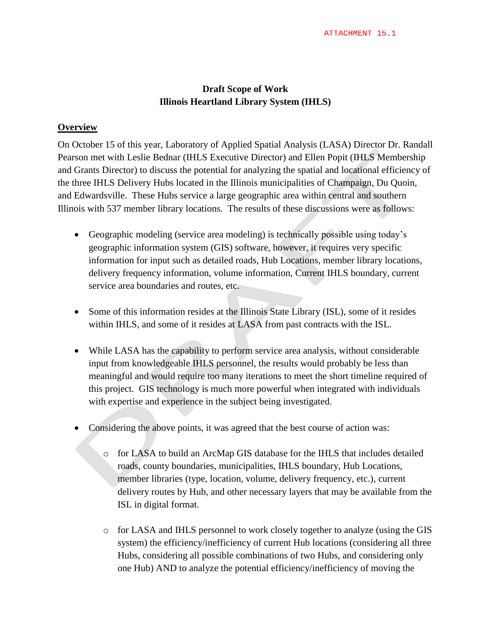## **Draft Scope of Work Illinois Heartland Library System (IHLS)**

## **Overview**

On October 15 of this year, Laboratory of Applied Spatial Analysis (LASA) Director Dr. Randall Pearson met with Leslie Bednar (IHLS Executive Director) and Ellen Popit (IHLS Membership and Grants Director) to discuss the potential for analyzing the spatial and locational efficiency of the three IHLS Delivery Hubs located in the Illinois municipalities of Champaign, Du Quoin, and Edwardsville. These Hubs service a large geographic area within central and southern Illinois with 537 member library locations. The results of these discussions were as follows:

- Geographic modeling (service area modeling) is technically possible using today's geographic information system (GIS) software, however, it requires very specific information for input such as detailed roads, Hub Locations, member library locations, delivery frequency information, volume information, Current IHLS boundary, current service area boundaries and routes, etc.
- Some of this information resides at the Illinois State Library (ISL), some of it resides within IHLS, and some of it resides at LASA from past contracts with the ISL.
- While LASA has the capability to perform service area analysis, without considerable input from knowledgeable IHLS personnel, the results would probably be less than meaningful and would require too many iterations to meet the short timeline required of this project. GIS technology is much more powerful when integrated with individuals with expertise and experience in the subject being investigated.
- Considering the above points, it was agreed that the best course of action was:
	- o for LASA to build an ArcMap GIS database for the IHLS that includes detailed roads, county boundaries, municipalities, IHLS boundary, Hub Locations, member libraries (type, location, volume, delivery frequency, etc.), current delivery routes by Hub, and other necessary layers that may be available from the ISL in digital format.
	- o for LASA and IHLS personnel to work closely together to analyze (using the GIS system) the efficiency/inefficiency of current Hub locations (considering all three Hubs, considering all possible combinations of two Hubs, and considering only one Hub) AND to analyze the potential efficiency/inefficiency of moving the